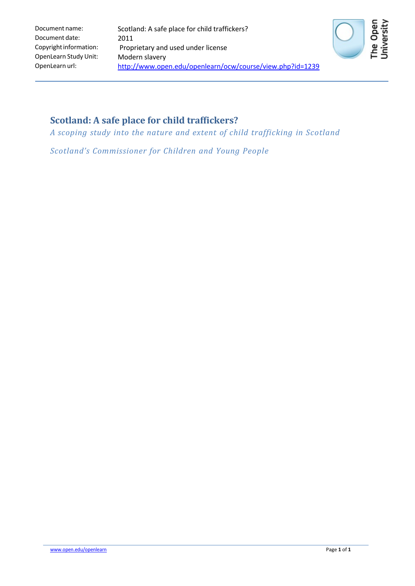

## **Scotland: A safe place for child traffickers?**

*A scoping study into the nature and extent of child trafficking in Scotland*

*Scotland's Commissioner for Children and Young People*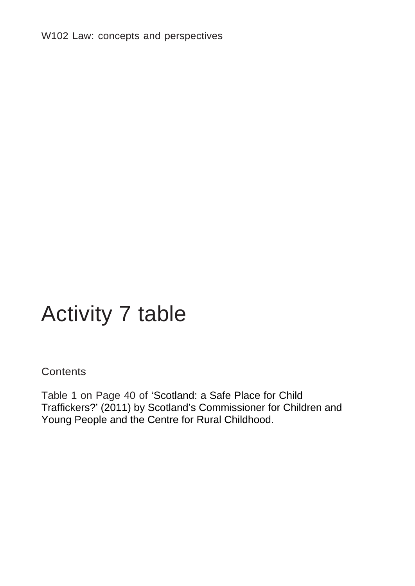W102 Law: concepts and perspectives

## Activity 7 table

## **Contents**

Table 1 on Page 40 of 'Scotland: a Safe Place for Child Traffickers?' (2011) by Scotland's Commissioner for Children and Young People and the Centre for Rural Childhood.